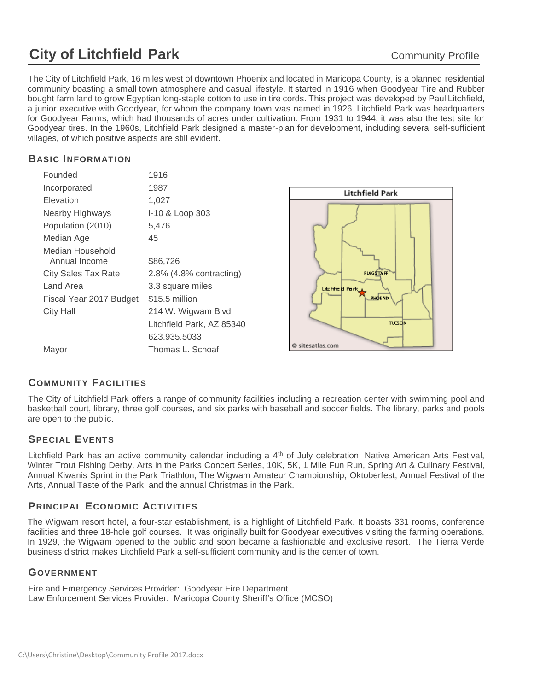# **City of Litchfield Park** Community Profile

The City of Litchfield Park, 16 miles west of downtown Phoenix and located in Maricopa County, is a planned residential community boasting a small town atmosphere and casual lifestyle. It started in 1916 when Goodyear Tire and Rubber bought farm land to grow Egyptian long-staple cotton to use in tire cords. This project was developed by Paul Litchfield, a junior executive with Goodyear, for whom the company town was named in 1926. Litchfield Park was headquarters for Goodyear Farms, which had thousands of acres under cultivation. From 1931 to 1944, it was also the test site for Goodyear tires. In the 1960s, Litchfield Park designed a master-plan for development, including several self-sufficient villages, of which positive aspects are still evident.

## **BASIC INFORMATION**

| Founded                           | 1916                       |                        |
|-----------------------------------|----------------------------|------------------------|
| Incorporated                      | 1987                       | <b>Litchfield Park</b> |
| <b>Elevation</b>                  | 1,027                      |                        |
| Nearby Highways                   | I-10 & Loop 303            |                        |
| Population (2010)                 | 5,476                      |                        |
| Median Age                        | 45                         |                        |
| Median Household<br>Annual Income | \$86,726                   |                        |
| <b>City Sales Tax Rate</b>        | $2.8\%$ (4.8% contracting) | <b>FLAGSTAFF</b>       |
| Land Area                         | 3.3 square miles           | Lite hife di Park A    |
| Fiscal Year 2017 Budget           | \$15.5 million             | PHOENIX                |
| <b>City Hall</b>                  | 214 W. Wigwam Blvd         |                        |
|                                   | Litchfield Park, AZ 85340  | TUCSON                 |
|                                   | 623.935.5033               |                        |
| Mayor                             | Thomas L. Schoaf           | @ sitesatlas.com       |
|                                   |                            |                        |

# **COMMUNITY FACILITIES**

The City of Litchfield Park offers a range of community facilities including a recreation center with swimming pool and basketball court, library, three golf courses, and six parks with baseball and soccer fields. The library, parks and pools are open to the public.

## **SPECIAL EVENTS**

Litchfield Park has an active community calendar including a 4<sup>th</sup> of July celebration, Native American Arts Festival, Winter Trout Fishing Derby, Arts in the Parks Concert Series, 10K, 5K, 1 Mile Fun Run, Spring Art & Culinary Festival, Annual Kiwanis Sprint in the Park Triathlon, The Wigwam Amateur Championship, Oktoberfest, Annual Festival of the Arts, Annual Taste of the Park, and the annual Christmas in the Park.

## **PRINCIPAL ECONOMIC ACTIVITIES**

The Wigwam resort hotel, a four-star establishment, is a highlight of Litchfield Park. It boasts 331 rooms, conference facilities and three 18-hole golf courses. It was originally built for Goodyear executives visiting the farming operations. In 1929, the Wigwam opened to the public and soon became a fashionable and exclusive resort. The Tierra Verde business district makes Litchfield Park a self-sufficient community and is the center of town.

## **GOVERNMENT**

Fire and Emergency Services Provider: Goodyear Fire Department Law Enforcement Services Provider: Maricopa County Sheriff's Office (MCSO)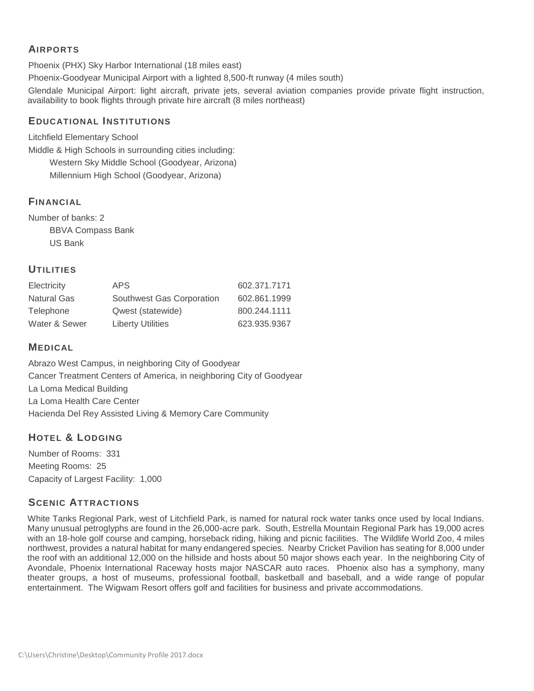## **AIRPORTS**

Phoenix (PHX) Sky Harbor International (18 miles east)

Phoenix-Goodyear Municipal Airport with a lighted 8,500-ft runway (4 miles south)

Glendale Municipal Airport: light aircraft, private jets, several aviation companies provide private flight instruction, availability to book flights through private hire aircraft (8 miles northeast)

## **EDUCATIONAL INSTITUTIONS**

Litchfield Elementary School

Middle & High Schools in surrounding cities including:

Western Sky Middle School (Goodyear, Arizona) Millennium High School (Goodyear, Arizona)

## **FINANCIAL**

Number of banks: 2 BBVA Compass Bank US Bank

## **UTILITIES**

| Electricity        | APS.                      | 602.371.7171 |
|--------------------|---------------------------|--------------|
| <b>Natural Gas</b> | Southwest Gas Corporation | 602.861.1999 |
| Telephone          | Qwest (statewide)         | 800.244.1111 |
| Water & Sewer      | <b>Liberty Utilities</b>  | 623.935.9367 |

## **MEDICAL**

Abrazo West Campus, in neighboring City of Goodyear Cancer Treatment Centers of America, in neighboring City of Goodyear La Loma Medical Building La Loma Health Care Center Hacienda Del Rey Assisted Living & Memory Care Community

# **HOTEL & LODGING**

Number of Rooms: 331 Meeting Rooms: 25 Capacity of Largest Facility: 1,000

# **SCENIC ATTRACTIONS**

White Tanks Regional Park, west of Litchfield Park, is named for natural rock water tanks once used by local Indians. Many unusual petroglyphs are found in the 26,000-acre park. South, Estrella Mountain Regional Park has 19,000 acres with an 18-hole golf course and camping, horseback riding, hiking and picnic facilities. The Wildlife World Zoo, 4 miles northwest, provides a natural habitat for many endangered species. Nearby Cricket Pavilion has seating for 8,000 under the roof with an additional 12,000 on the hillside and hosts about 50 major shows each year. In the neighboring City of Avondale, Phoenix International Raceway hosts major NASCAR auto races. Phoenix also has a symphony, many theater groups, a host of museums, professional football, basketball and baseball, and a wide range of popular entertainment. The Wigwam Resort offers golf and facilities for business and private accommodations.